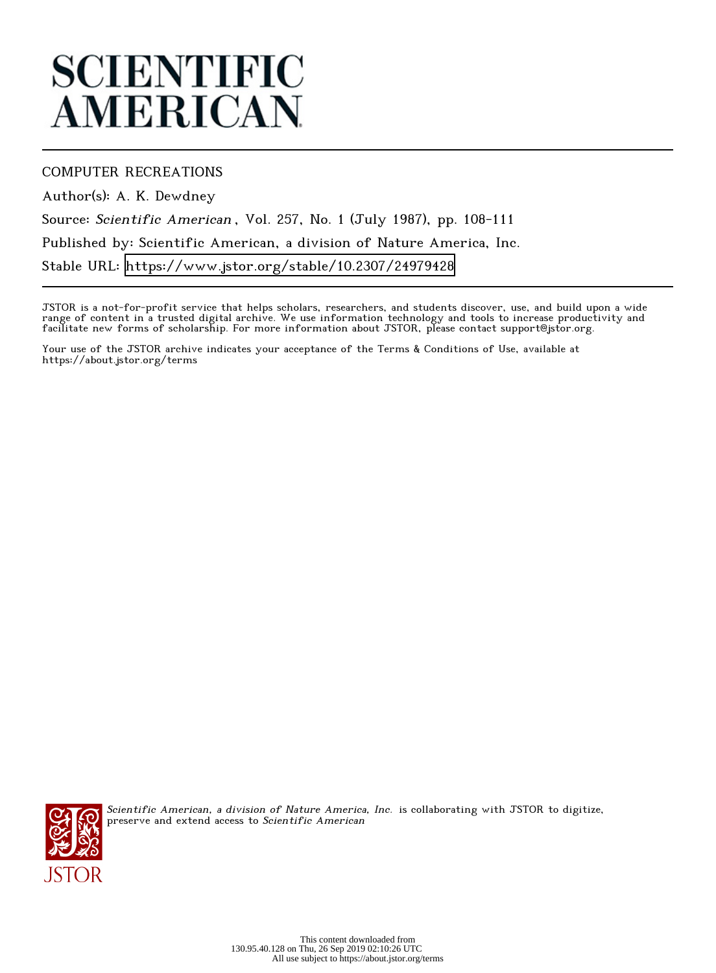

## COMPUTER RECREATIONS

Author(s): A. K. Dewdney Source: Scientific American , Vol. 257, No. 1 (July 1987), pp. 108-111 Published by: Scientific American, a division of Nature America, Inc. Stable URL:<https://www.jstor.org/stable/10.2307/24979428>

JSTOR is a not-for-profit service that helps scholars, researchers, and students discover, use, and build upon a wide range of content in a trusted digital archive. We use information technology and tools to increase productivity and facilitate new forms of scholarship. For more information about JSTOR, please contact support@jstor.org.

Your use of the JSTOR archive indicates your acceptance of the Terms & Conditions of Use, available at https://about.jstor.org/terms



Scientific American, a division of Nature America, Inc. is collaborating with JSTOR to digitize, preserve and extend access to Scientific American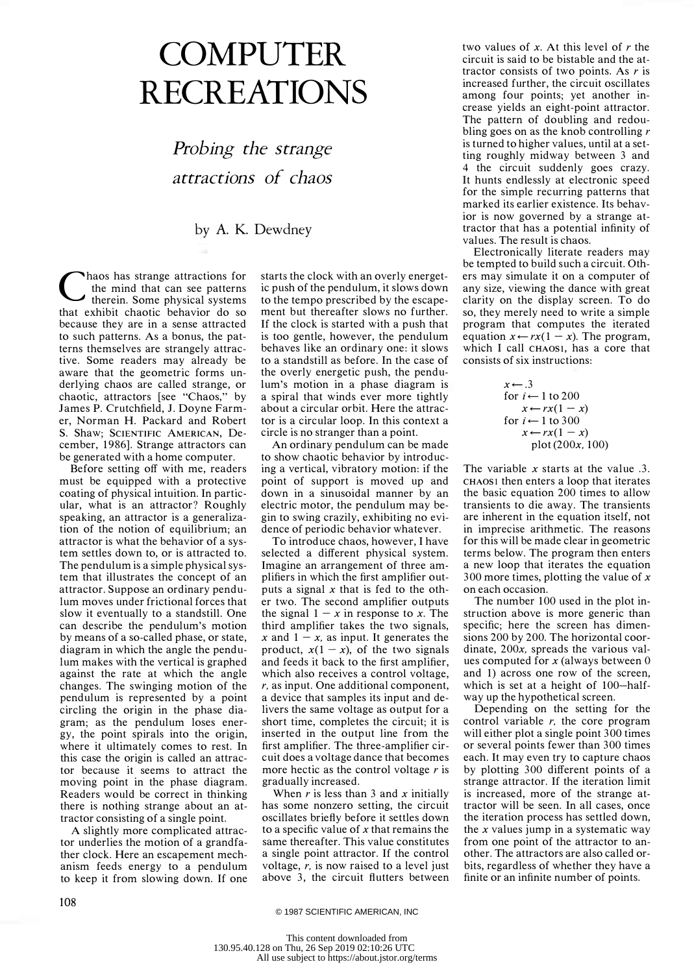## **COMPUTER** RECREATIONS

Probing the strange attractions of chaos

by A. K. Dewdney

C haos has strange attractions for the mind that can see patterns therein. Some physical systems that exhibit chaotic behavior do so because they are in a sense attracted to such patterns. As a bonus, the patterns themselves are strangely attractive. Some readers may already be aware that the geometric forms underlying chaos are called strange, or chaotic, attractors [see "Chaos," by James P. Crutchfield, J. Doyne Farmer, Norman H. Packard and Robert S. Shaw; SCIENTIFIC AMERICAN, December, 1986]. Strange attractors can be generated with a home computer.

Before setting off with me, readers must be equipped with a protective coating of physical intuition. In particular, what is an attractor? Roughly speaking, an attractor is a generalization of the notion of equilibrium; an attractor is what the behavior of a system settles down to, or is attracted to. The pendulum is a simple physical system that illustrates the concept of an attractor. Suppose an ordinary pendulum moves under frictional forces that slow it eventually to a standstill. One can describe the pendulum's motion by means of a so-called phase, or state, diagram in which the angle the pendulum makes with the vertical is graphed against the rate at which the angle changes. The swinging motion of the pendulum is represented by a point circling the origin in the phase diagram; as the pendulum loses energy, the point spirals into the origin, where it ultimately comes to rest. In this case the origin is called an attractor because it seems to attract the moving point in the phase diagram. Readers would be correct in thinking there is nothing strange about an attractor consisting of a single point.

A slightly more complicated attractor underlies the motion of a grandfather clock. Here an escapement mechanism feeds energy to a pendulum to keep it from slowing down. If one

starts the clock with an overly energetic push of the pendulum, it slows down to the tempo prescribed by the escapement but thereafter slows no further. If the clock is started with a push that is too gentle, however, the pendulum behaves like an ordinary one: it slows to a standstill as before. In the case of the overly energetic push, the pendulum's motion in a phase diagram is a spiral that winds ever more tightly about a circular orbit. Here the attractor is a circular loop. In this context a circle is no stranger than a point.

An ordinary pendulum can be made to show chaotic behavior by introducing a vertical, vibratory motion: if the point of support is moved up and down in a sinusoidal manner by an electric motor, the pendulum may begin to swing crazily, exhibiting no evidence of periodic behavior whatever.

To introduce chaos, however, I have selected a different physical system. Imagine an arrangement of three amplifiers in which the first amplifier outputs a signal  $x$  that is fed to the other two. The second amplifier outputs the signal  $1 - x$  in response to x. The third amplifier takes the two signals, x and  $1 - x$ , as input. It generates the product,  $x(1 - x)$ , of the two signals and feeds it back to the first amplifier, which also receives a control voltage, r, as input. One additional component, a device that samples its input and delivers the same voltage as output for a short time, completes the circuit; it is inserted in the output line from the first amplifier. The three-amplifier circuit does a voltage dance that becomes more hectic as the control voltage  $r$  is grad ually increased.

When  $r$  is less than 3 and  $x$  initially has some nonzero setting, the circuit oscillates briefly before it settles down to a specific value of  $x$  that remains the same thereafter. This value constitutes a single point attractor. If the control voltage,  $\overline{r}$ , is now raised to a level just above 3, the circuit flutters between

two values of  $x$ . At this level of  $r$  the circuit is said to be bistable and the attractor consists of two points. As  $r$  is increased further, the circuit oscillates among four points; yet another increase yields an eight-point attractor. The pattern of doubling and redoubling goes on as the knob controlling  $r$ is turned to higher values, until at a setting roughly midway between 3 and 4 the circuit suddenly goes crazy. It hunts endlessly at electronic speed for the simple recurring patterns that marked its earlier existence. Its behavior is now governed by a strange attractor that has a potential infinity of values. The result is chaos.

Electronically literate readers may be tempted to build such a circuit. Others may simulate it on a computer of any size, viewing the dance with great clarity on the display screen. To do so, they merely need to write a simple program that computes the iterated equation  $x \leftarrow rx(1-x)$ . The program, which I call CHAOS1, has a core that consists of six instructions:

$$
x \leftarrow .3
$$
  
for  $i \leftarrow 1$  to 200  

$$
x \leftarrow rx(1-x)
$$
  
for  $i \leftarrow 1$  to 300  

$$
x \leftarrow rx(1-x)
$$
  
plot (200x, 100)

The variable  $x$  starts at the value  $.3$ . CHAOSl then enters a loop that iterates the basic equation 200 times to allow transients to die away. The transients are inherent in the equation itself, not in imprecise arithmetic. The reasons for this will be made clear in geometric terms below. The program then enters a new loop that iterates the equation 300 more times, plotting the value of  $x$ on each occasion.

The number 100 used in the plot instruction above is more generic than specific; here the screen has dimensions 200 by 200. The horizontal coordinate, 200x, spreads the various values computed for  $x$  (always between  $0$ and 1) across one row of the screen, which is set at a height of 100-halfway up the hypothetical screen.

Depending on the setting for the control variable  $r$ , the core program will either plot a single point 300 times or several points fewer than 300 times each. It may even try to capture chaos by plotting 300 different points of a strange attractor. If the iteration limit is increased, more of the strange attractor will be seen. In all cases, once the iteration process has settled down, the  $x$  values jump in a systematic way from one point of the attractor to another. The attractors are also called orbits, regardless of whether they have a finite or an infinite number of points.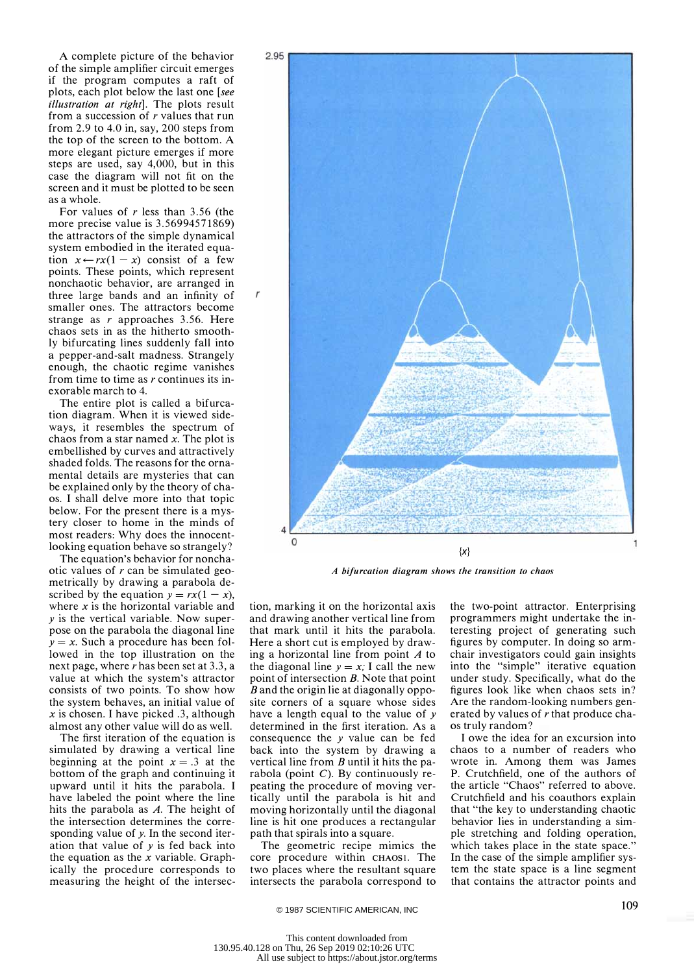A complete picture of the behavior of the simple amplifier circuit emerges if the program computes a raft of plots, each plot below the last one [see illustration at right. The plots result from a succession of  $r$  values that run from 2.9 to 4.0 in, say, 200 steps from the top of the screen to the bottom. A more elegant picture emerges if more steps are used, say 4,000, but in this case the diagram will not fit on the screen and it must be plotted to be seen as a whole.

For values of  $r$  less than 3.56 (the more precise value is 3.56994571869) the attractors of the simple dynamical system embodied in the iterated equation  $x \leftarrow rx(1-x)$  consist of a few points. These points, which represent nonchaotic behavior, are arranged in three large bands and an infinity of smaller ones. The attractors become strange as  $r$  approaches 3.56. Here chaos sets in as the hitherto smoothly bifurcating lines suddenly fall into a pepper-and-salt madness. Strangely enough, the chaotic regime vanishes from time to time as r continues its inexorable march to 4.

The entire plot is called a bifurcation diagram. When it is viewed sideways, it resembles the spectrum of chaos from a star named  $x$ . The plot is embellished by curves and attractively shaded folds. The reasons for the ornamental details are mysteries that can be explained only by the theory of chaos. I shall delve more into that topic below. For the present there is a mystery closer to home in the minds of most readers: Why does the innocentlooking equation behave so strangely?

The equation's behavior for nonchaotic values of  $r$  can be simulated geometrically by drawing a parabola described by the equation  $y = rx(1 - x)$ , where  $x$  is the horizontal variable and y is the vertical variable. Now superpose on the parabola the diagonal line  $y = x$ . Such a procedure has been followed in the top illustration on the next page, where  $r$  has been set at 3.3, a value at which the system's attractor consists of two points. To show how the system behaves, an initial value of  $x$  is chosen. I have picked  $\alpha$ , although almost any other value will do as well.

The first iteration of the equation is simulated by drawing a vertical line beginning at the point  $x = .3$  at the bottom of the graph and continuing it upward until it hits the parabola. I have labeled the point where the line hits the parabola as A. The height of the intersection determines the corresponding value of  $\nu$ . In the second iteration that value of  $y$  is fed back into the equation as the  $x$  variable. Graphically the procedure corresponds to measuring the height of the intersec-



A bifurcation diagram shows the transition to chaos

tion, marking it on the horizontal axis and drawing another vertical line from that mark until it hits the parabola. Here a short cut is employed by drawing a horizontal line from point  $A$  to the diagonal line  $y = x$ ; I call the new point of intersection B. Note that point  $\overline{B}$  and the origin lie at diagonally opposite corners of a square whose sides have a length equal to the value of  $\nu$ determined in the first iteration. As a consequence the  $y$  value can be fed back into the system by drawing a vertical line from  $B$  until it hits the parabola (point  $C$ ). By continuously repeating the procedure of moving vertically until the parabola is hit and moving horizontally until the diagonal line is hit one produces a rectangular path that spirals into a square.

The geometric recipe mimics the core procedure within CHAOS!. The two places where the resultant square intersects the parabola correspond to the two-point attractor. Enterprising programmers might undertake the interesting project of generating such figures by computer. In doing so armchair investigators could gain insights into the "simple" iterative equation under study. Specifically, what do the figures look like when chaos sets in? Are the random-looking numbers generated by values of r that produce chaos truly random?

I owe the idea for an excursion into chaos to a number of readers who wrote in. Among them was James P. Crutchfield, one of the authors of the article "Chaos" referred to above. Crutchfield and his coauthors explain that "the key to understanding chaotic behavior lies in understanding a simple stretching and folding operation, which takes place in the state space." In the case of the simple amplifier system the state space is a line segment that contains the attractor points and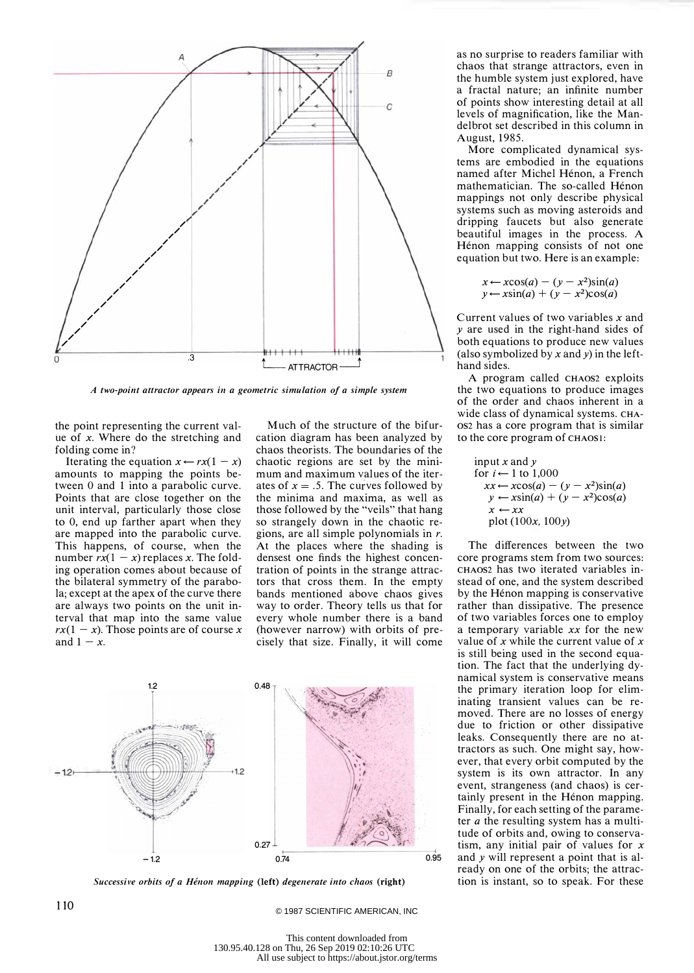

A two-point attractor appears in a geometric simulation of a simple system

the point representing the current value of  $x$ . Where do the stretching and folding come in?

Iterating the equation  $x \leftarrow rx(1 - x)$ amounts to mapping the points between 0 and 1 into a parabolic curve. Points that are close together on the unit interval, particularly those close to 0, end up farther apart when they are mapped into the parabolic curve. This happens, of course, when the number  $rx(1 - x)$  replaces x. The folding operation comes about because of the bilateral symmetry of the parabola; except at the apex of the curve there are always two points on the unit interval that map into the same value  $rx(1 - x)$ . Those points are of course x and  $1 - x$ .

Much of the structure of the bifurcation diagram has been analyzed by chaos theorists. The boundaries of the chaotic regions are set by the minimum and maximum values of the iterates of  $x = .5$ . The curves followed by the minima and maxima, as well as those followed by the "veils" that hang so strangely down in the chaotic regions, are all simple polynomials in r. At the places where the shading is densest one finds the highest concentration of points in the strange attractors that cross them. In the empty bands mentioned above chaos gives way to order. Theory tells us that for every whole number there is a band (however narrow) with orbits of precisely that size. Finally, it will come



Successive orbits of a Hénon mapping (left) degenerate into chaos (right)

as no surprise to readers familiar with chaos that strange attractors, even in the humble system just explored, have a fractal nature; an infinite number of points show interesting detail at all levels of magnification, like the Mandelbrot set described in this column in August, 1985.

More complicated dynamical systems are embodied in the equations named after Michel Henon, a French mathematician. The so-called Henon mappings not only describe physical systems such as moving asteroids and dripping faucets but also generate beautiful images in the process. A Henon mapping consists of not one equation but two. Here is an example:

$$
x \leftarrow x \cos(a) - (y - x^2) \sin(a)
$$
  

$$
y \leftarrow x \sin(a) + (y - x^2) \cos(a)
$$

Current values of two variables  $x$  and y are used in the right-hand sides of both equations to produce new values (also symbolized by  $x$  and  $y$ ) in the lefthand sides.

A program called CHAOS2 exploits the two equations to produce images of the order and chaos inherent in a wide class of dynamical systems. CHA-OS2 has a core program that is similar to the core program of CHAOSl:

input  $x$  and  $y$ for  $i \leftarrow 1$  to 1,000  $xx \leftarrow x \cos(a) - (y - x^2) \sin(a)$  $y \leftarrow x \sin(a) + (y - x^2) \cos(a)$  $x \leftarrow xx$ plot  $(100x, 100y)$ 

The differences between the two core programs stem from two sources: CHAOS2 has two iterated variables instead of one, and the system described by the Henon mapping is conservative rather than dissipative. The presence of two variables forces one to employ a temporary variable xx for the new value of  $x$  while the current value of  $x$ is still being used in the second equation. The fact that the underlying dynamical system is conservative means the primary iteration loop for eliminating transient values can be removed. There are no losses of energy due to friction or other dissipative leaks. Consequently there are no attractors as such. One might say, however, that every orbit computed by the system is its own attractor. In any event, strangeness (and chaos) is certainly present in the Henon mapping. Finally, for each setting of the parameter a the resulting system has a multitude of orbits and, owing to conservatism, any initial pair of values for  $x$ and  $y$  will represent a point that is already on one of the orbits; the attraction is instant, so to speak. For these

© 1987 SCIENTIFIC AMERICAN, INC